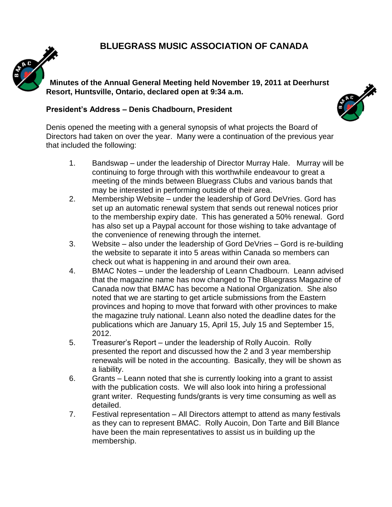### **BLUEGRASS MUSIC ASSOCIATION OF CANADA**



**Minutes of the Annual General Meeting held November 19, 2011 at Deerhurst Resort, Huntsville, Ontario, declared open at 9:34 a.m.**

#### **President's Address – Denis Chadbourn, President**



Denis opened the meeting with a general synopsis of what projects the Board of Directors had taken on over the year. Many were a continuation of the previous year that included the following:

- 1. Bandswap under the leadership of Director Murray Hale. Murray will be continuing to forge through with this worthwhile endeavour to great a meeting of the minds between Bluegrass Clubs and various bands that may be interested in performing outside of their area.
- 2. Membership Website under the leadership of Gord DeVries. Gord has set up an automatic renewal system that sends out renewal notices prior to the membership expiry date. This has generated a 50% renewal. Gord has also set up a Paypal account for those wishing to take advantage of the convenience of renewing through the internet.
- 3. Website also under the leadership of Gord DeVries Gord is re-building the website to separate it into 5 areas within Canada so members can check out what is happening in and around their own area.
- 4. BMAC Notes under the leadership of Leann Chadbourn. Leann advised that the magazine name has now changed to The Bluegrass Magazine of Canada now that BMAC has become a National Organization. She also noted that we are starting to get article submissions from the Eastern provinces and hoping to move that forward with other provinces to make the magazine truly national. Leann also noted the deadline dates for the publications which are January 15, April 15, July 15 and September 15, 2012.
- 5. Treasurer's Report under the leadership of Rolly Aucoin. Rolly presented the report and discussed how the 2 and 3 year membership renewals will be noted in the accounting. Basically, they will be shown as a liability.
- 6. Grants Leann noted that she is currently looking into a grant to assist with the publication costs. We will also look into hiring a professional grant writer. Requesting funds/grants is very time consuming as well as detailed.
- 7. Festival representation All Directors attempt to attend as many festivals as they can to represent BMAC. Rolly Aucoin, Don Tarte and Bill Blance have been the main representatives to assist us in building up the membership.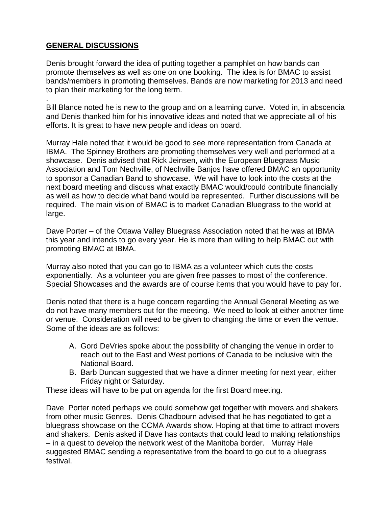#### **GENERAL DISCUSSIONS**

Denis brought forward the idea of putting together a pamphlet on how bands can promote themselves as well as one on one booking. The idea is for BMAC to assist bands/members in promoting themselves. Bands are now marketing for 2013 and need to plan their marketing for the long term.

. Bill Blance noted he is new to the group and on a learning curve. Voted in, in abscencia and Denis thanked him for his innovative ideas and noted that we appreciate all of his efforts. It is great to have new people and ideas on board.

Murray Hale noted that it would be good to see more representation from Canada at IBMA. The Spinney Brothers are promoting themselves very well and performed at a showcase. Denis advised that Rick Jeinsen, with the European Bluegrass Music Association and Tom Nechville, of Nechville Banjos have offered BMAC an opportunity to sponsor a Canadian Band to showcase. We will have to look into the costs at the next board meeting and discuss what exactly BMAC would/could contribute financially as well as how to decide what band would be represented. Further discussions will be required. The main vision of BMAC is to market Canadian Bluegrass to the world at large.

Dave Porter – of the Ottawa Valley Bluegrass Association noted that he was at IBMA this year and intends to go every year. He is more than willing to help BMAC out with promoting BMAC at IBMA.

Murray also noted that you can go to IBMA as a volunteer which cuts the costs exponentially. As a volunteer you are given free passes to most of the conference. Special Showcases and the awards are of course items that you would have to pay for.

Denis noted that there is a huge concern regarding the Annual General Meeting as we do not have many members out for the meeting. We need to look at either another time or venue. Consideration will need to be given to changing the time or even the venue. Some of the ideas are as follows:

- A. Gord DeVries spoke about the possibility of changing the venue in order to reach out to the East and West portions of Canada to be inclusive with the National Board.
- B. Barb Duncan suggested that we have a dinner meeting for next year, either Friday night or Saturday.

These ideas will have to be put on agenda for the first Board meeting.

Dave Porter noted perhaps we could somehow get together with movers and shakers from other music Genres. Denis Chadbourn advised that he has negotiated to get a bluegrass showcase on the CCMA Awards show. Hoping at that time to attract movers and shakers. Denis asked if Dave has contacts that could lead to making relationships – in a quest to develop the network west of the Manitoba border. Murray Hale suggested BMAC sending a representative from the board to go out to a bluegrass festival.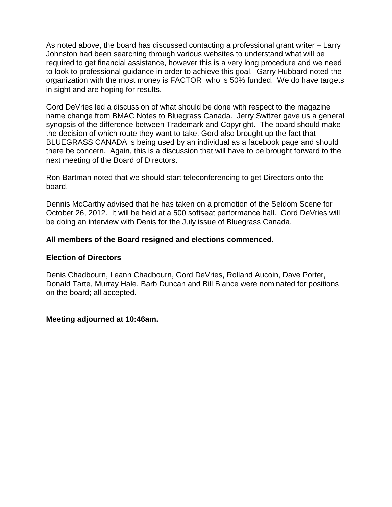As noted above, the board has discussed contacting a professional grant writer – Larry Johnston had been searching through various websites to understand what will be required to get financial assistance, however this is a very long procedure and we need to look to professional guidance in order to achieve this goal. Garry Hubbard noted the organization with the most money is FACTOR who is 50% funded. We do have targets in sight and are hoping for results.

Gord DeVries led a discussion of what should be done with respect to the magazine name change from BMAC Notes to Bluegrass Canada. Jerry Switzer gave us a general synopsis of the difference between Trademark and Copyright. The board should make the decision of which route they want to take. Gord also brought up the fact that BLUEGRASS CANADA is being used by an individual as a facebook page and should there be concern. Again, this is a discussion that will have to be brought forward to the next meeting of the Board of Directors.

Ron Bartman noted that we should start teleconferencing to get Directors onto the board.

Dennis McCarthy advised that he has taken on a promotion of the Seldom Scene for October 26, 2012. It will be held at a 500 softseat performance hall. Gord DeVries will be doing an interview with Denis for the July issue of Bluegrass Canada.

#### **All members of the Board resigned and elections commenced.**

#### **Election of Directors**

Denis Chadbourn, Leann Chadbourn, Gord DeVries, Rolland Aucoin, Dave Porter, Donald Tarte, Murray Hale, Barb Duncan and Bill Blance were nominated for positions on the board; all accepted.

#### **Meeting adjourned at 10:46am.**